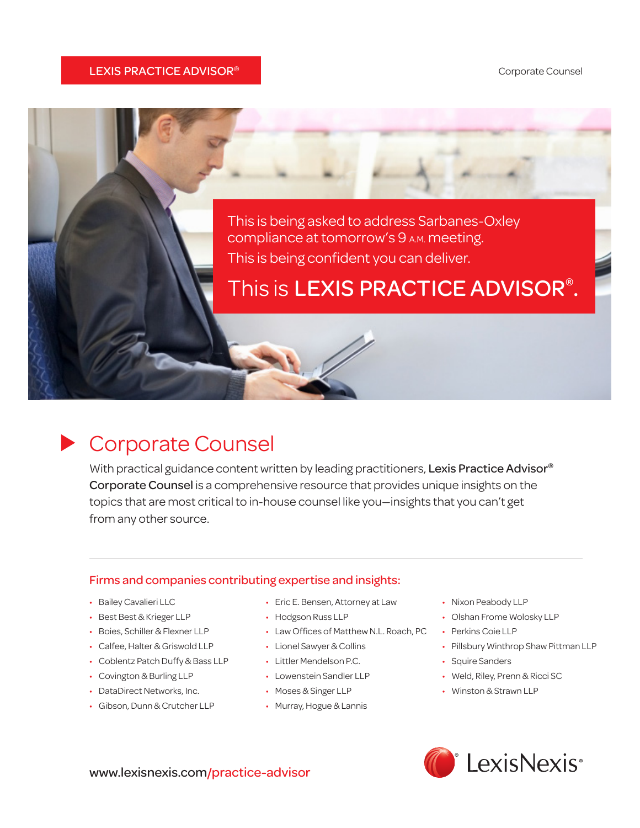#### LEXIS PRACTICE ADVISOR®



## Corporate Counsel

With practical guidance content written by leading practitioners, Lexis Practice Advisor<sup>®</sup> Corporate Counsel is a comprehensive resource that provides unique insights on the topics that are most critical to in-house counsel like you—insights that you can't get from any other source.

#### Firms and companies contributing expertise and insights:

- • Bailey Cavalieri LLC
- Best Best & Krieger LLP
- Boies, Schiller & Flexner LLP
- • Calfee, Halter & Griswold LLP
- • Coblentz Patch Duffy & Bass LLP
- Covington & Burling LLP
- DataDirect Networks, Inc.
- • Gibson, Dunn & Crutcher LLP
- Eric E. Bensen, Attorney at Law
- Hodgson Russ LLP
- • Law Offices of Matthew N.L. Roach, PC
- • Lionel Sawyer & Collins
- • Littler Mendelson P.C.
- Lowenstein Sandler LLP
- • Moses & Singer LLP
- • Murray, Hogue & Lannis
- • Nixon Peabody LLP
- • Olshan Frome Wolosky LLP
- Perkins Coie LLP
- • Pillsbury Winthrop Shaw Pittman LLP
- Squire Sanders
- • Weld, Riley, Prenn & Ricci SC
- • Winston & Strawn LLP



www.lexisnexis.com/practice-advisor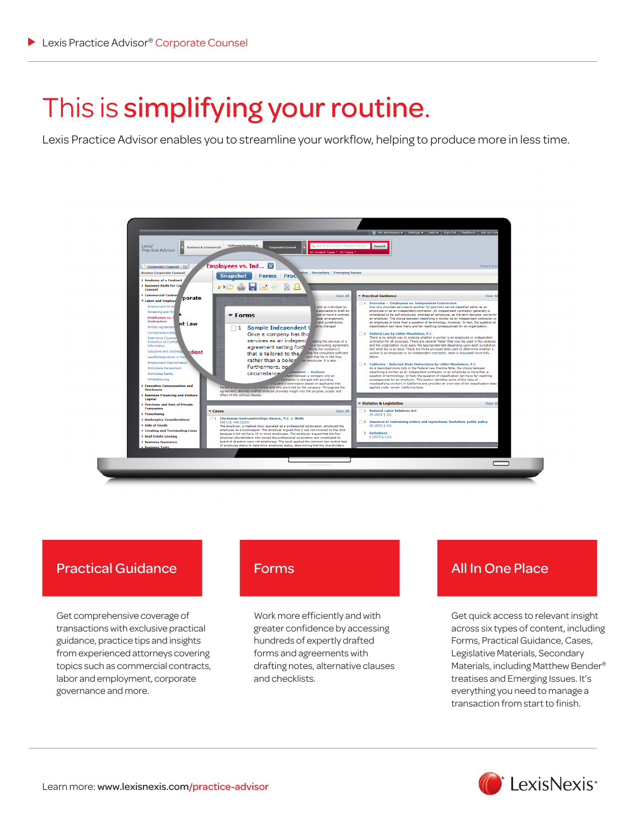## This is simplifying your routine.

Lexis Practice Advisor enables you to streamline your workflow, helping to produce more in less time.



### Practical Guidance

Get comprehensive coverage of transactions with exclusive practical guidance, practice tips and insights from experienced attorneys covering topics such as commercial contracts, labor and employment, corporate governance and more.

Work more efficiently and with greater confidence by accessing hundreds of expertly drafted forms and agreements with drafting notes, alternative clauses and checklists.

### Forms **All In One Place**

Get quick access to relevant insight across six types of content, including Forms, Practical Guidance, Cases, Legislative Materials, Secondary Materials, including Matthew Bender® treatises and Emerging Issues. It's everything you need to manage a transaction from start to finish.

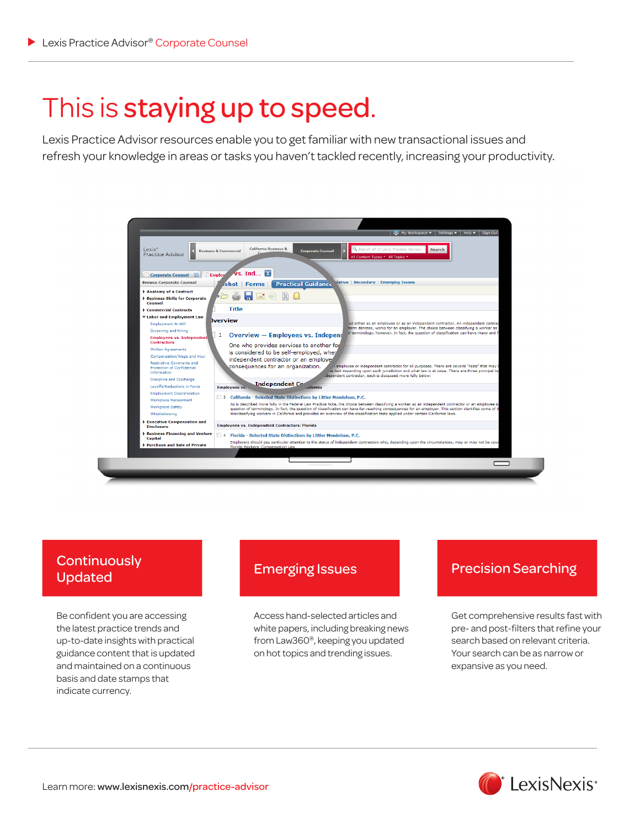## This is staying up to speed.

Lexis Practice Advisor resources enable you to get familiar with new transactional issues and refresh your knowledge in areas or tasks you haven't tackled recently, increasing your productivity.



# Updated

Be confident you are accessing the latest practice trends and up-to-date insights with practical guidance content that is updated and maintained on a continuous basis and date stamps that indicate currency.

Access hand-selected articles and white papers, including breaking news from Law360®, keeping you updated on hot topics and trending issues.

## Emerging Issues<br>
Precision Searching Lindston

Get comprehensive results fast with pre- and post-filters that refine your search based on relevant criteria. Your search can be as narrow or expansive as you need.